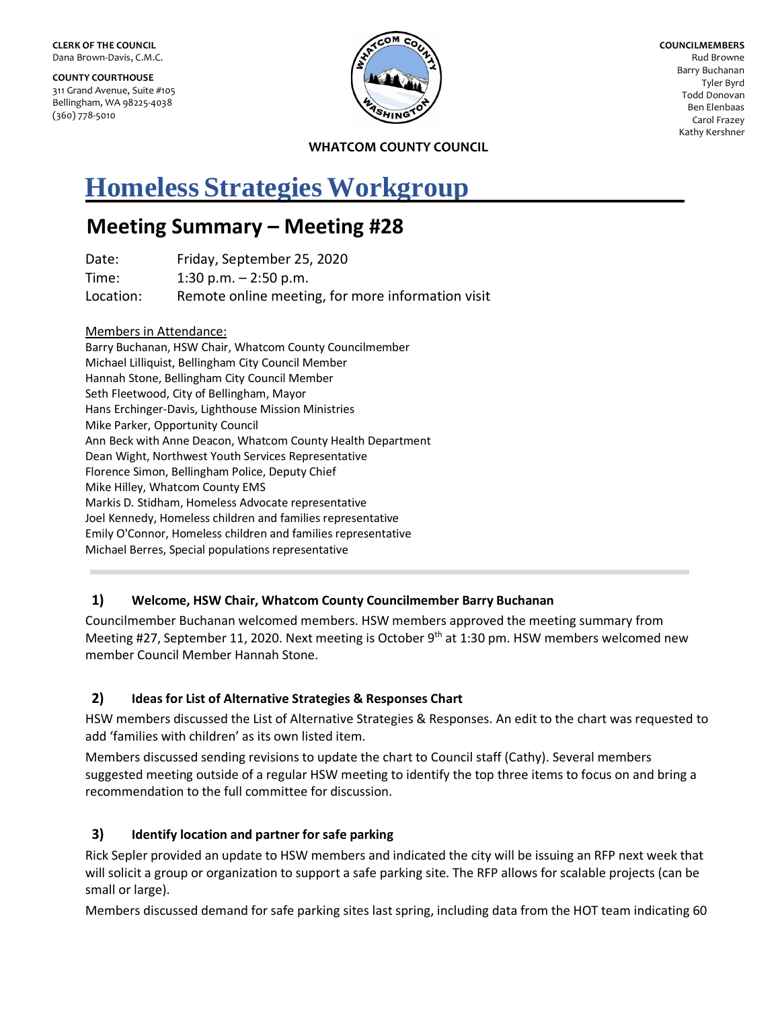**COUNTY COURTHOUSE** 311 Grand Avenue, Suite #105 Bellingham, WA 98225-4038 (360) 778-5010



**COUNCILMEMBERS** Rud Browne Barry Buchanan Tyler Byrd Todd Donovan Ben Elenbaas Carol Frazey Kathy Kershner

**WHATCOM COUNTY COUNCIL**

# **Homeless Strategies Workgroup**

# **Meeting Summary – Meeting #28**

| Date:     | Friday, September 25, 2020                        |
|-----------|---------------------------------------------------|
| Time:     | $1:30$ p.m. $-2:50$ p.m.                          |
| Location: | Remote online meeting, for more information visit |

#### Members in Attendance:

Barry Buchanan, HSW Chair, Whatcom County Councilmember Michael Lilliquist, Bellingham City Council Member Hannah Stone, Bellingham City Council Member Seth Fleetwood, City of Bellingham, Mayor Hans Erchinger-Davis, Lighthouse Mission Ministries Mike Parker, Opportunity Council Ann Beck with Anne Deacon, Whatcom County Health Department Dean Wight, Northwest Youth Services Representative Florence Simon, Bellingham Police, Deputy Chief Mike Hilley, Whatcom County EMS Markis D. Stidham, Homeless Advocate representative Joel Kennedy, Homeless children and families representative Emily O'Connor, Homeless children and families representative Michael Berres, Special populations representative

# **1) Welcome, HSW Chair, Whatcom County Councilmember Barry Buchanan**

Councilmember Buchanan welcomed members. HSW members approved the meeting summary from Meeting #27, September 11, 2020. Next meeting is October 9<sup>th</sup> at 1:30 pm. HSW members welcomed new member Council Member Hannah Stone.

# **2) Ideas for List of Alternative Strategies & Responses Chart**

HSW members discussed the List of Alternative Strategies & Responses. An edit to the chart was requested to add 'families with children' as its own listed item.

Members discussed sending revisions to update the chart to Council staff (Cathy). Several members suggested meeting outside of a regular HSW meeting to identify the top three items to focus on and bring a recommendation to the full committee for discussion.

# **3) Identify location and partner for safe parking**

Rick Sepler provided an update to HSW members and indicated the city will be issuing an RFP next week that will solicit a group or organization to support a safe parking site. The RFP allows for scalable projects (can be small or large).

Members discussed demand for safe parking sites last spring, including data from the HOT team indicating 60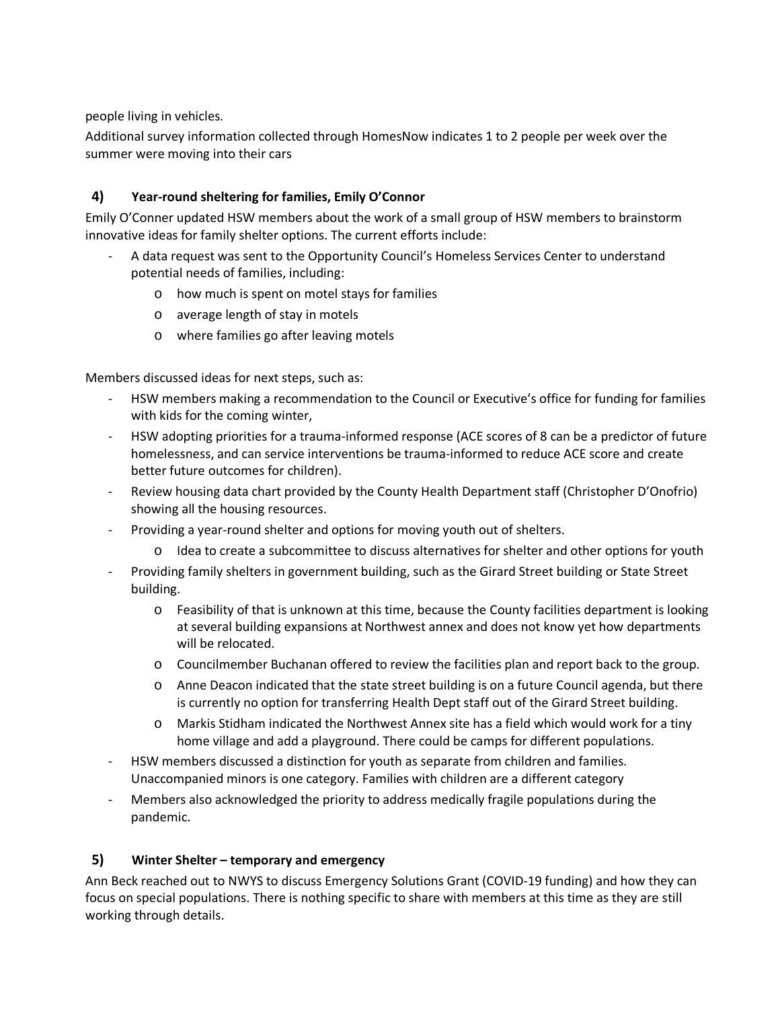people living in vehicles.

Additional survey information collected through HomesNow indicates 1 to 2 people per week over the summer were moving into their cars

# **4) Year-round sheltering for families, Emily O'Connor**

Emily O'Conner updated HSW members about the work of a small group of HSW members to brainstorm innovative ideas for family shelter options. The current efforts include:

- A data request was sent to the Opportunity Council's Homeless Services Center to understand potential needs of families, including:
	- o how much is spent on motel stays for families
	- o average length of stay in motels
	- o where families go after leaving motels

Members discussed ideas for next steps, such as:

- HSW members making a recommendation to the Council or Executive's office for funding for families with kids for the coming winter,
- HSW adopting priorities for a trauma-informed response (ACE scores of 8 can be a predictor of future homelessness, and can service interventions be trauma-informed to reduce ACE score and create better future outcomes for children).
- Review housing data chart provided by the County Health Department staff (Christopher D'Onofrio) showing all the housing resources.
- Providing a year-round shelter and options for moving youth out of shelters.
	- o Idea to create a subcommittee to discuss alternatives for shelter and other options for youth
- Providing family shelters in government building, such as the Girard Street building or State Street building.
	- o Feasibility of that is unknown at this time, because the County facilities department is looking at several building expansions at Northwest annex and does not know yet how departments will be relocated.
	- o Councilmember Buchanan offered to review the facilities plan and report back to the group.
	- o Anne Deacon indicated that the state street building is on a future Council agenda, but there is currently no option for transferring Health Dept staff out of the Girard Street building.
	- o Markis Stidham indicated the Northwest Annex site has a field which would work for a tiny home village and add a playground. There could be camps for different populations.
- HSW members discussed a distinction for youth as separate from children and families. Unaccompanied minors is one category. Families with children are a different category
- Members also acknowledged the priority to address medically fragile populations during the pandemic.

#### **5) Winter Shelter – temporary and emergency**

Ann Beck reached out to NWYS to discuss Emergency Solutions Grant (COVID-19 funding) and how they can focus on special populations. There is nothing specific to share with members at this time as they are still working through details.